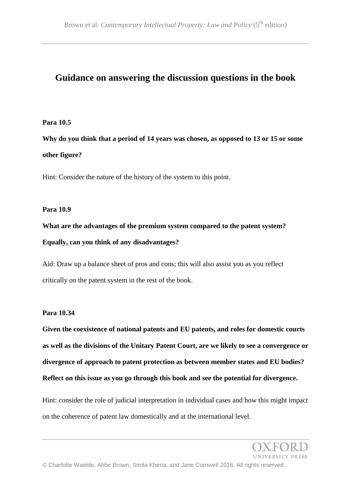# **Guidance on answering the discussion questions in the book**

## **Para 10.5**

**Why do you think that a period of 14 years was chosen, as opposed to 13 or 15 or some other figure?**

Hint: Consider the nature of the history of the system to this point.

## **Para 10.9**

**What are the advantages of the premium system compared to the patent system? Equally, can you think of any disadvantages?**

Aid: Draw up a balance sheet of pros and cons; this will also assist you as you reflect critically on the patent system in the rest of the book.

## **Para 10.34**

**Given the coexistence of national patents and EU patents, and roles for domestic courts as well as the divisions of the Unitary Patent Court, are we likely to see a convergence or divergence of approach to patent protection as between member states and EU bodies? Reflect on this issue as you go through this book and see the potential for divergence.**

Hint: consider the role of judicial interpretation in individual cases and how this might impact on the coherence of patent law domestically and at the international level.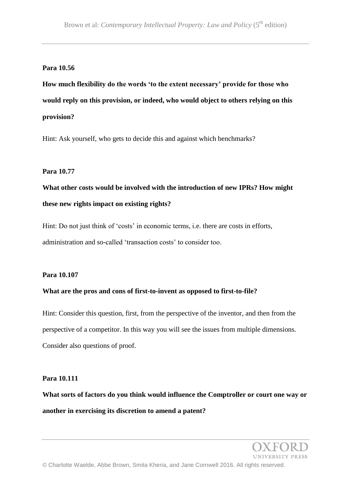## **Para 10.56**

**How much flexibility do the words 'to the extent necessary' provide for those who would reply on this provision, or indeed, who would object to others relying on this provision?**

Hint: Ask yourself, who gets to decide this and against which benchmarks?

## **Para 10.77**

**What other costs would be involved with the introduction of new IPRs? How might these new rights impact on existing rights?**

Hint: Do not just think of 'costs' in economic terms, i.e. there are costs in efforts, administration and so-called 'transaction costs' to consider too.

## **Para 10.107**

## **What are the pros and cons of first-to-invent as opposed to first-to-file?**

Hint: Consider this question, first, from the perspective of the inventor, and then from the perspective of a competitor. In this way you will see the issues from multiple dimensions. Consider also questions of proof.

#### **Para 10.111**

**What sorts of factors do you think would influence the Comptroller or court one way or another in exercising its discretion to amend a patent?**